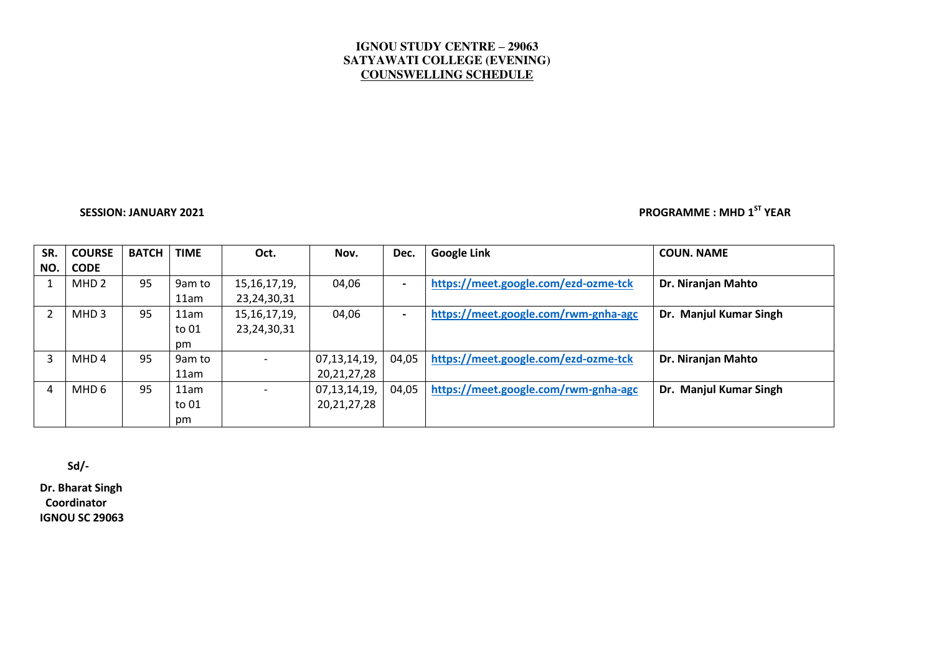## **IGNOU STUDY CENTRE – 29063 SATYAWATI COLLEGE (EVENING) COUNSWELLING SCHEDULE**

# **SESSION: JANUARY 2021 PROGRAMME : MHD 1ST YEAR**

| SR. | <b>COURSE</b>    | <b>BATCH</b> | <b>TIME</b> | Oct.            | Nov.           | Dec.                     | <b>Google Link</b>                   | <b>COUN. NAME</b>      |
|-----|------------------|--------------|-------------|-----------------|----------------|--------------------------|--------------------------------------|------------------------|
| NO. | <b>CODE</b>      |              |             |                 |                |                          |                                      |                        |
|     | MHD <sub>2</sub> | 95           | 9am to      | 15, 16, 17, 19, | 04,06          | $\overline{\phantom{0}}$ | https://meet.google.com/ezd-ozme-tck | Dr. Niranjan Mahto     |
|     |                  |              | 11am        | 23, 24, 30, 31  |                |                          |                                      |                        |
|     | MHD <sub>3</sub> | 95           | 11am        | 15, 16, 17, 19, | 04,06          | $\overline{\phantom{0}}$ | https://meet.google.com/rwm-gnha-agc | Dr. Manjul Kumar Singh |
|     |                  |              | to 01       | 23, 24, 30, 31  |                |                          |                                      |                        |
|     |                  |              | pm          |                 |                |                          |                                      |                        |
| 3   | MHD <sub>4</sub> | 95           | 9am to      |                 | 07,13,14,19,   | 04,05                    | https://meet.google.com/ezd-ozme-tck | Dr. Niranjan Mahto     |
|     |                  |              | 11am        |                 | 20, 21, 27, 28 |                          |                                      |                        |
| 4   | MHD 6            | 95           | 11am        |                 | 07,13,14,19,   | 04,05                    | https://meet.google.com/rwm-gnha-agc | Dr. Manjul Kumar Singh |
|     |                  |              | to 01       |                 | 20, 21, 27, 28 |                          |                                      |                        |
|     |                  |              | pm          |                 |                |                          |                                      |                        |

 **Sd/-** 

**Dr. Bharat Singh Coordinator IGNOU SC 29063**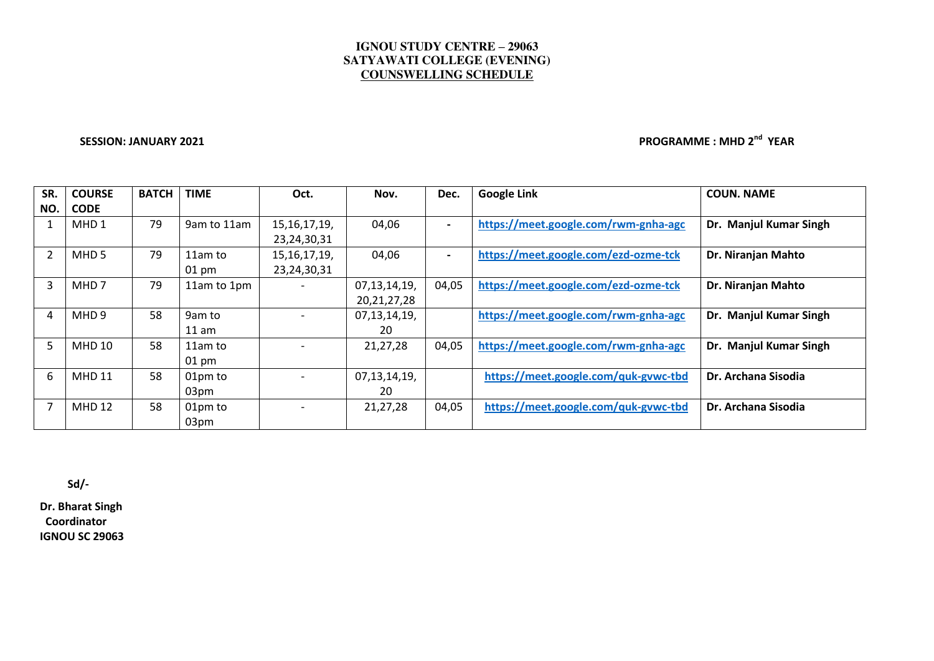## **IGNOU STUDY CENTRE – 29063 SATYAWATI COLLEGE (EVENING) COUNSWELLING SCHEDULE**

**SESSION: JANUARY 2021 PROGRAMME : MHD 2nd YEAR** 

| SR. | <b>COURSE</b>    | <b>BATCH</b> | <b>TIME</b>     | Oct.            | Nov.         | Dec.                     | <b>Google Link</b>                   | <b>COUN. NAME</b>      |
|-----|------------------|--------------|-----------------|-----------------|--------------|--------------------------|--------------------------------------|------------------------|
| NO. | <b>CODE</b>      |              |                 |                 |              |                          |                                      |                        |
|     | MHD 1            | 79           | 9am to 11am     | 15, 16, 17, 19, | 04,06        | $\blacksquare$           | https://meet.google.com/rwm-gnha-agc | Dr. Manjul Kumar Singh |
|     |                  |              |                 | 23,24,30,31     |              |                          |                                      |                        |
|     | MHD <sub>5</sub> | 79           | 11am to         | 15, 16, 17, 19, | 04,06        | $\overline{\phantom{0}}$ | https://meet.google.com/ezd-ozme-tck | Dr. Niranjan Mahto     |
|     |                  |              | $01 \text{ pm}$ | 23,24,30,31     |              |                          |                                      |                        |
| 3   | MHD <sub>7</sub> | 79           | 11am to 1pm     |                 | 07,13,14,19, | 04,05                    | https://meet.google.com/ezd-ozme-tck | Dr. Niranjan Mahto     |
|     |                  |              |                 |                 | 20,21,27,28  |                          |                                      |                        |
| 4   | MHD <sub>9</sub> | 58           | 9am to          |                 | 07,13,14,19, |                          | https://meet.google.com/rwm-gnha-agc | Dr. Manjul Kumar Singh |
|     |                  |              | $11$ am         |                 | 20           |                          |                                      |                        |
| 5   | <b>MHD 10</b>    | 58           | 11am to         |                 | 21,27,28     | 04,05                    | https://meet.google.com/rwm-gnha-agc | Dr. Manjul Kumar Singh |
|     |                  |              | $01 \text{ pm}$ |                 |              |                          |                                      |                        |
| 6   | <b>MHD 11</b>    | 58           | 01pm to         |                 | 07,13,14,19, |                          | https://meet.google.com/quk-gvwc-tbd | Dr. Archana Sisodia    |
|     |                  |              | 03pm            |                 | 20           |                          |                                      |                        |
|     | <b>MHD 12</b>    | 58           | 01pm to         |                 | 21,27,28     | 04,05                    | https://meet.google.com/quk-gvwc-tbd | Dr. Archana Sisodia    |
|     |                  |              | 03pm            |                 |              |                          |                                      |                        |

 **Sd/-** 

**Dr. Bharat Singh Coordinator IGNOU SC 29063**